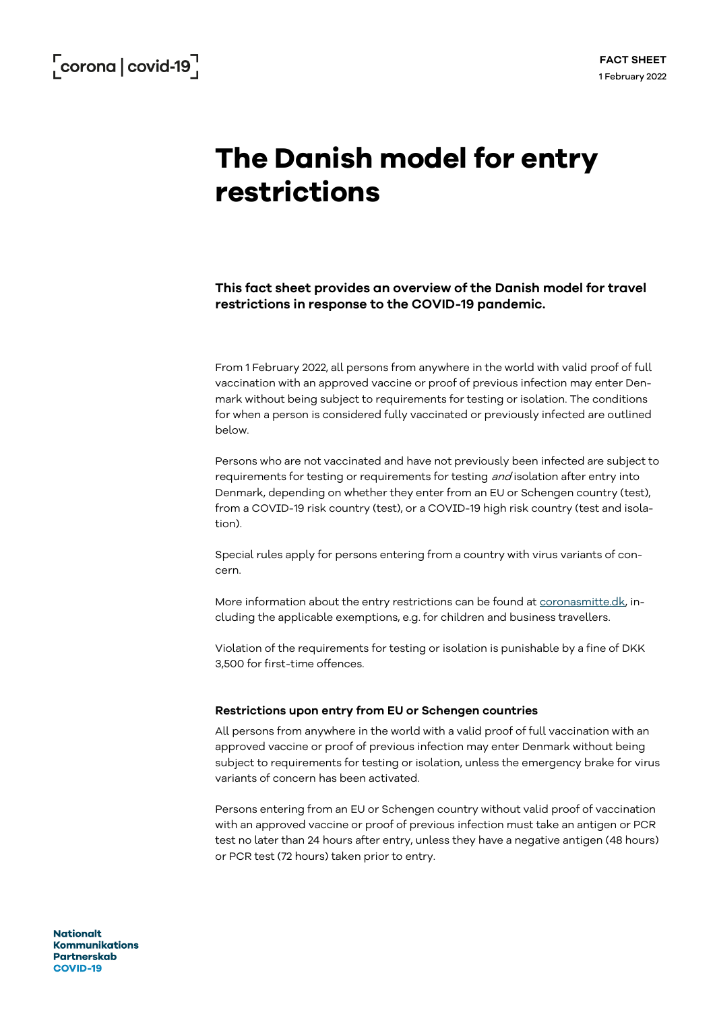# **The Danish model for entry restrictions**

**This fact sheet provides an overview of the Danish model for travel restrictions in response to the COVID-19 pandemic.**

From 1 February 2022, all persons from anywhere in the world with valid proof of full vaccination with an approved vaccine or proof of previous infection may enter Denmark without being subject to requirements for testing or isolation. The conditions for when a person is considered fully vaccinated or previously infected are outlined below.

Persons who are not vaccinated and have not previously been infected are subject to requirements for testing or requirements for testing *and* isolation after entry into Denmark, depending on whether they enter from an EU or Schengen country (test), from a COVID-19 risk country (test), or a COVID-19 high risk country (test and isolation).

Special rules apply for persons entering from a country with virus variants of concern.

More information about the entry restrictions can be found at [coronasmitte.dk,](https://coronasmitte.dk/raad-og-regler/emner/rejser-til-eller-via-danmark) including the applicable exemptions, e.g. for children and business travellers.

Violation of the requirements for testing or isolation is punishable by a fine of DKK 3,500 for first-time offences.

## **Restrictions upon entry from EU or Schengen countries**

All persons from anywhere in the world with a valid proof of full vaccination with an approved vaccine or proof of previous infection may enter Denmark without being subject to requirements for testing or isolation, unless the emergency brake for virus variants of concern has been activated.

Persons entering from an EU or Schengen country without valid proof of vaccination with an approved vaccine or proof of previous infection must take an antigen or PCR test no later than 24 hours after entry, unless they have a negative antigen (48 hours) or PCR test (72 hours) taken prior to entry.

**Nationalt Kommunikations Partnerskab COVID-19**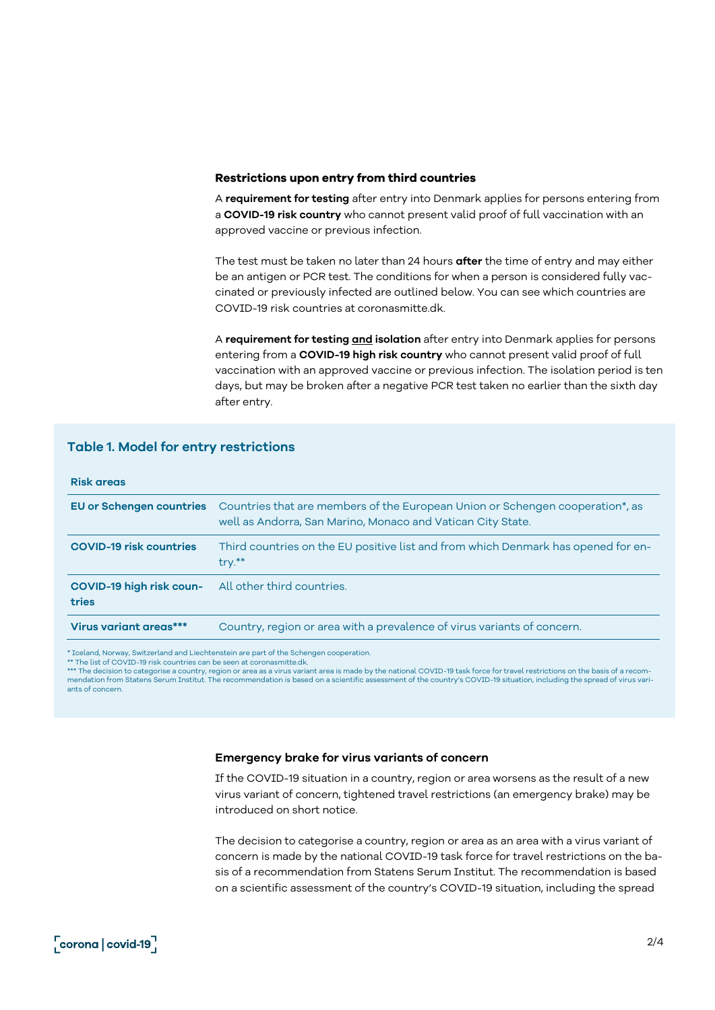#### **Restrictions upon entry from third countries**

A **requirement for testing** after entry into Denmark applies for persons entering from a **COVID-19 risk country** who cannot present valid proof of full vaccination with an approved vaccine or previous infection.

The test must be taken no later than 24 hours **after** the time of entry and may either be an antigen or PCR test. The conditions for when a person is considered fully vaccinated or previously infected are outlined below. You can see which countries are COVID-19 risk countries at coronasmitte.dk.

A **requirement for testing and isolation** after entry into Denmark applies for persons entering from a **COVID-19 high risk country** who cannot present valid proof of full vaccination with an approved vaccine or previous infection. The isolation period is ten days, but may be broken after a negative PCR test taken no earlier than the sixth day after entry.

# **Table 1. Model for entry restrictions**

#### **Risk areas**

|                                   | EU or Schengen countries Countries that are members of the European Union or Schengen cooperation*, as<br>well as Andorra, San Marino, Monaco and Vatican City State. |
|-----------------------------------|-----------------------------------------------------------------------------------------------------------------------------------------------------------------------|
| <b>COVID-19 risk countries</b>    | Third countries on the EU positive list and from which Denmark has opened for en-<br>$try.**$                                                                         |
| COVID-19 high risk coun-<br>tries | All other third countries.                                                                                                                                            |
| Virus variant areas***            | Country, region or area with a prevalence of virus variants of concern.                                                                                               |

\* Iceland, Norway, Switzerland and Liechtenstein are part of the Schengen cooperation.

\*\* The list of COVID-19 risk countries can be seen at coronasmitte.dk.

\*\*\* The decision to categorise a country, region or area as a virus variant area is made by the national COVID-19 task force for travel restrictions on the basis of a recom-<br>mendation from Statens Serum Institut. The recom ants of concern.

#### **Emergency brake for virus variants of concern**

If the COVID-19 situation in a country, region or area worsens as the result of a new virus variant of concern, tightened travel restrictions (an emergency brake) may be introduced on short notice.

The decision to categorise a country, region or area as an area with a virus variant of concern is made by the national COVID-19 task force for travel restrictions on the basis of a recommendation from Statens Serum Institut. The recommendation is based on a scientific assessment of the country's COVID-19 situation, including the spread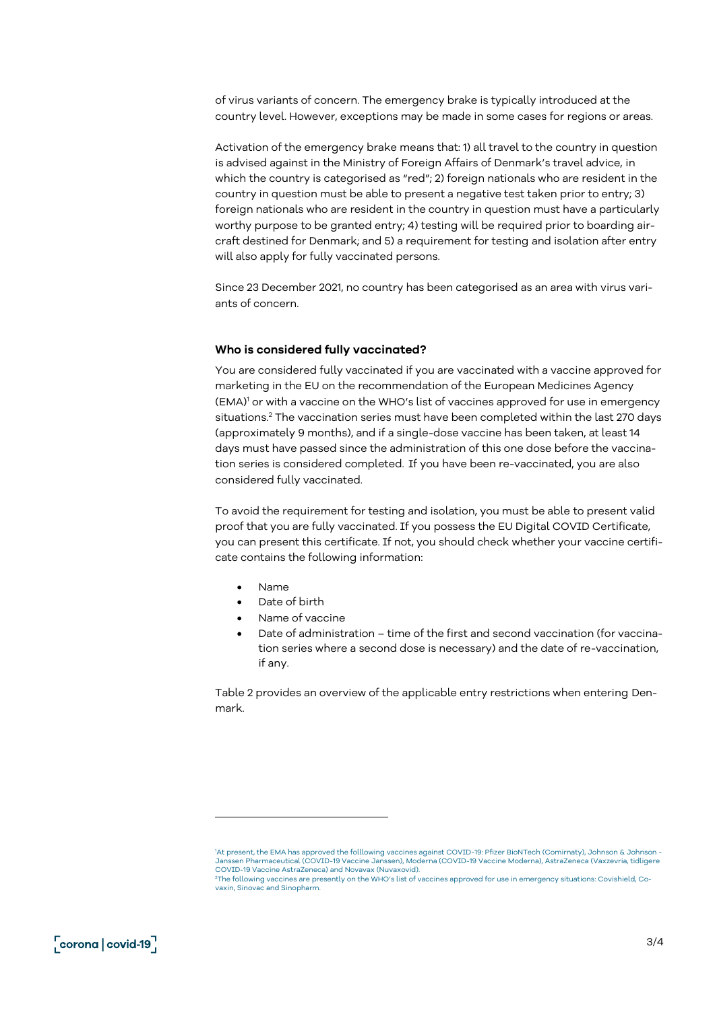of virus variants of concern. The emergency brake is typically introduced at the country level. However, exceptions may be made in some cases for regions or areas.

Activation of the emergency brake means that: 1) all travel to the country in question is advised against in the Ministry of Foreign Affairs of Denmark's travel advice, in which the country is categorised as "red"; 2) foreign nationals who are resident in the country in question must be able to present a negative test taken prior to entry; 3) foreign nationals who are resident in the country in question must have a particularly worthy purpose to be granted entry; 4) testing will be required prior to boarding aircraft destined for Denmark; and 5) a requirement for testing and isolation after entry will also apply for fully vaccinated persons.

Since 23 December 2021, no country has been categorised as an area with virus variants of concern.

## **Who is considered fully vaccinated?**

You are considered fully vaccinated if you are vaccinated with a vaccine approved for marketing in the EU on the recommendation of the European Medicines Agency (EMA)<sup>1</sup> or with a vaccine on the WHO's list of vaccines approved for use in emergency situations.<sup>2</sup> The vaccination series must have been completed within the last 270 days (approximately 9 months), and if a single-dose vaccine has been taken, at least 14 days must have passed since the administration of this one dose before the vaccination series is considered completed. If you have been re-vaccinated, you are also considered fully vaccinated.

To avoid the requirement for testing and isolation, you must be able to present valid proof that you are fully vaccinated. If you possess the EU Digital COVID Certificate, you can present this certificate. If not, you should check whether your vaccine certificate contains the following information:

- Name
- Date of birth
- Name of vaccine
- Date of administration time of the first and second vaccination (for vaccination series where a second dose is necessary) and the date of re-vaccination, if any.

Table 2 provides an overview of the applicable entry restrictions when entering Denmark.

<sup>1</sup>At present, the EMA has approved the folllowing vaccines against COVID-19: Pfizer BioNTech (Comirnaty), Johnson & Johnson -Janssen Pharmaceutical (COVID-19 Vaccine Janssen), Moderna (COVID-19 Vaccine Moderna), AstraZeneca (Vaxzevria, tidligere COVID-19 Vaccine AstraZeneca) and Novavax (Nuvaxovid).

<sup>2</sup>The following vaccines are presently on the WHO's list of vaccines approved for use in emergency situations: Covishield, Covaxin, Sinovac and Sinopharm